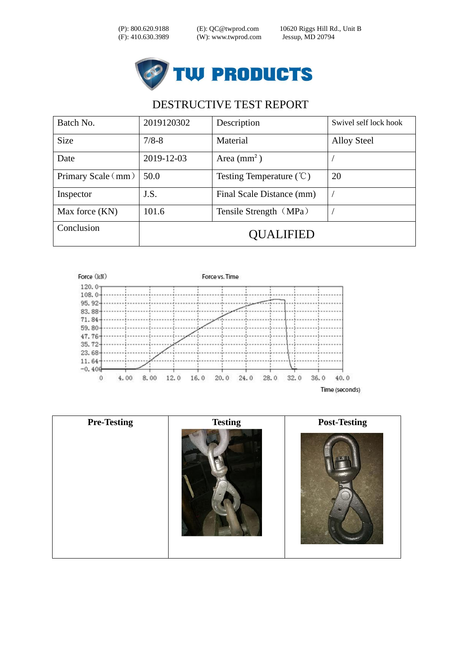(P): 800.620.9188 (E): QC@twprod.com 10620 Riggs Hill Rd., Unit B



| Batch No.          | 2019120302 | Description                         | Swivel self lock hook |
|--------------------|------------|-------------------------------------|-----------------------|
| <b>Size</b>        | $7/8 - 8$  | Material                            | <b>Alloy Steel</b>    |
| Date               | 2019-12-03 | Area $\text{(mm}^2)$                |                       |
| Primary Scale (mm) | 50.0       | Testing Temperature $(\mathcal{C})$ | 20                    |
| Inspector          | J.S.       | Final Scale Distance (mm)           |                       |
| Max force (KN)     | 101.6      | Tensile Strength (MPa)              |                       |
| Conclusion         | OUALIFIED  |                                     |                       |



| <b>Pre-Testing</b> | <b>Testing</b> | <b>Post-Testing</b> |
|--------------------|----------------|---------------------|
|                    |                |                     |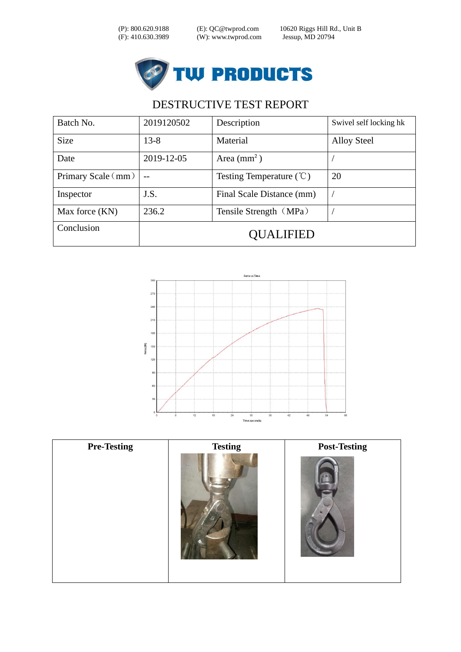(P): 800.620.9188 (E): QC@twprod.com 10620 Riggs Hill Rd., Unit B



| Batch No.          | 2019120502 | Description                         | Swivel self locking hk |
|--------------------|------------|-------------------------------------|------------------------|
| <b>Size</b>        | $13 - 8$   | Material                            | <b>Alloy Steel</b>     |
| Date               | 2019-12-05 | Area $(mm2)$                        |                        |
| Primary Scale (mm) |            | Testing Temperature $(\mathcal{C})$ | 20                     |
| Inspector          | J.S.       | Final Scale Distance (mm)           |                        |
| Max force (KN)     | 236.2      | Tensile Strength (MPa)              |                        |
| Conclusion         | OUALIFIED  |                                     |                        |



| <b>Pre-Testing</b> | <b>Testing</b> | <b>Post-Testing</b> |
|--------------------|----------------|---------------------|
|                    |                |                     |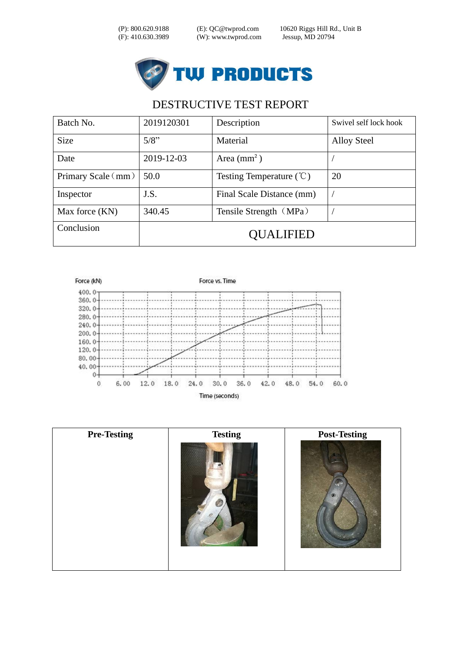(P): 800.620.9188 (E): QC@twprod.com 10620 Riggs Hill Rd., Unit B



| Batch No.            | 2019120301 | Description                         | Swivel self lock hook |
|----------------------|------------|-------------------------------------|-----------------------|
| <b>Size</b>          | 5/8"       | Material                            | <b>Alloy Steel</b>    |
| Date                 | 2019-12-03 | Area $\text{(mm}^2)$                |                       |
| Primary Scale $(mm)$ | 50.0       | Testing Temperature $(\mathcal{C})$ | 20                    |
| Inspector            | J.S.       | Final Scale Distance (mm)           |                       |
| Max force (KN)       | 340.45     | Tensile Strength (MPa)              |                       |
| Conclusion           | OUALIFIED  |                                     |                       |



| <b>Pre-Testing</b> | <b>Testing</b> | <b>Post-Testing</b> |
|--------------------|----------------|---------------------|
|                    |                |                     |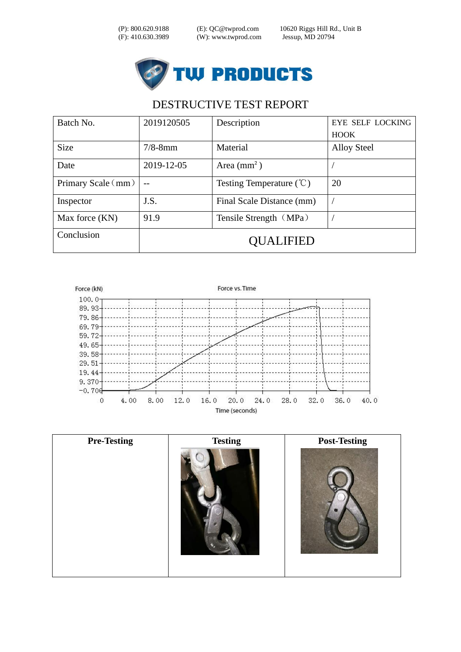(P): 800.620.9188 (E): QC@twprod.com 10620 Riggs Hill Rd., Unit B



| Batch No.          | 2019120505 | Description                         | <b>EYE SELF LOCKING</b> |
|--------------------|------------|-------------------------------------|-------------------------|
|                    |            |                                     | <b>HOOK</b>             |
| <b>Size</b>        | $7/8$ -8mm | Material                            | <b>Alloy Steel</b>      |
| Date               | 2019-12-05 | Area $\text{(mm}^2)$                |                         |
| Primary Scale (mm) |            | Testing Temperature $(\mathcal{C})$ | 20                      |
| Inspector          | J.S.       | Final Scale Distance (mm)           |                         |
| Max force (KN)     | 91.9       | Tensile Strength (MPa)              |                         |
| Conclusion         |            | OUALIFIED                           |                         |